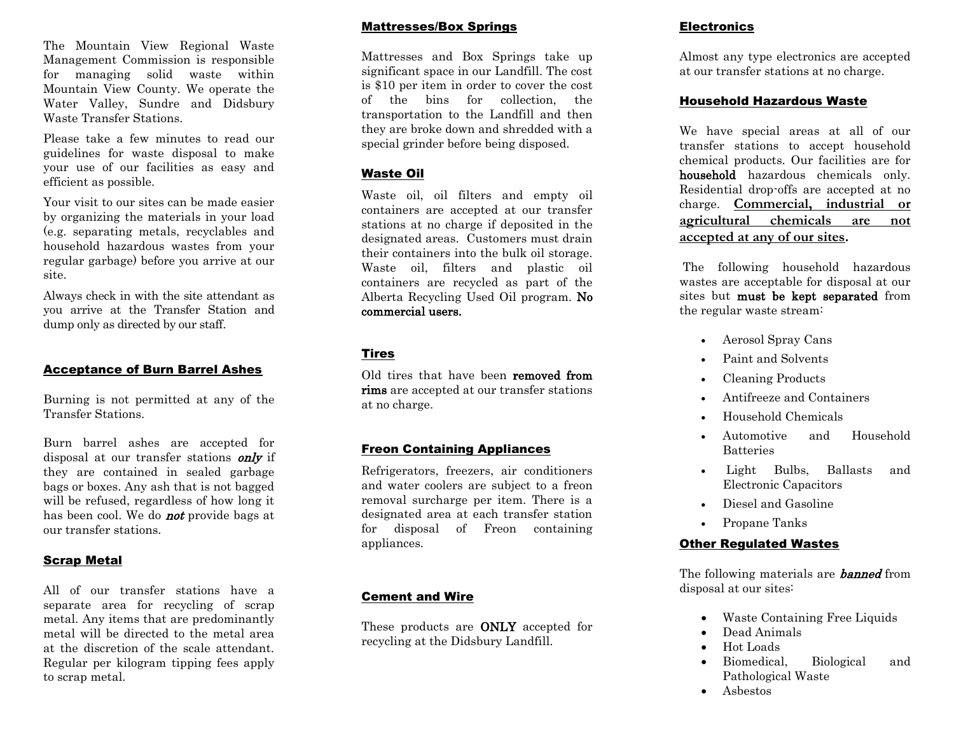The Mountain View Regional Waste Management Commission is responsible for managing solid waste within Mountain View County. We operate the Water Valley, Sundre and Didsbury Waste Transfer Stations.

Please take a few minutes to read our guidelines for waste disposal to make your use of our facilities as easy and efficient as possible.

Your visit to our sites can be made easier by organizing the materials in your load (e.g. separating metals, recyclables and household hazardous wastes from your regular garbage) before you arrive at our site.

Always check in with the site attendant as you arrive at the Transfer Station and dump only as directed by our staff.

## Acceptance of Burn Barrel Ashes

Burning is not permitted at any of the Transfer Stations.

Burn barrel ashes are accepted for disposal at our transfer stations *only* if they are contained in sealed garbage bags or boxes. Any ash that is not bagged will be refused, regardless of how long it has been cool. We do **not** provide bags at our transfer stations.

## Scrap Metal

All of our transfer stations have a separate area for recycling of scrap metal. Any items that are predominantly metal will be directed to the metal area at the discretion of the scale attendant. Regular per kilogram tipping fees apply to scrap metal.

#### Mattresses/Box Springs

Mattresses and Box Springs take up significant space in our Landfill. The cost is \$10 per item in order to cover the cost of the bins for collection, the transportation to the Landfill and then they are broke down and shredded with a special grinder before being disposed.

## Waste Oil

Waste oil, oil filters and empty oil containers are accepted at our transfer stations at no charge if deposited in the designated areas. Customers must drain their containers into the bulk oil storage. Waste oil, filters and plastic oil containers are recycled as part of the Alberta Recycling Used Oil program. No commercial users.

# Tires

Old tires that have been removed from rims are accepted at our transfer stations at no charge.

# Freon Containing Appliances

Refrigerators, freezers, air conditioners and water coolers are subject to a freon removal surcharge per item. There is a designated area at each transfer station for disposal of Freon containing appliances.

# Cement and Wire

These products are ONLY accepted for recycling at the Didsbury Landfill.

## **Electronics**

Almost any type electronics are accepted at our transfer stations at no charge.

#### Household Hazardous Waste

We have special areas at all of our transfer stations to accept household chemical products. Our facilities are for household hazardous chemicals only. Residential drop-offs are accepted at no charge. **Commercial, industrial or agricultural chemicals are not accepted at any of our sites.** 

The following household hazardous wastes are acceptable for disposal at our sites but must be kept separated from the regular waste stream:

- Aerosol Spray Cans
- Paint and Solvents
- Cleaning Products
- Antifreeze and Containers
- Household Chemicals
- Automotive and Household **Batteries**
- Light Bulbs, Ballasts and Electronic Capacitors
- Diesel and Gasoline
- Propane Tanks

# Other Regulated Wastes

The following materials are **banned** from disposal at our sites:

- Waste Containing Free Liquids
- Dead Animals
- Hot Loads
- Biomedical, Biological and Pathological Waste
- Asbestos